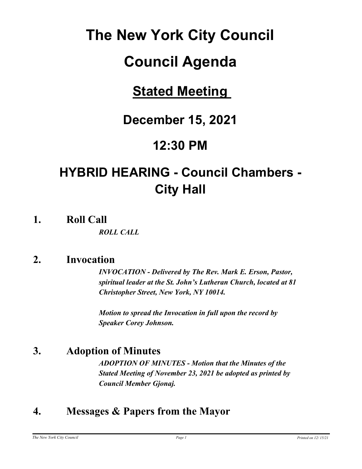# **The New York City Council**

# **Council Agenda**

# **Stated Meeting**

# **December 15, 2021**

# **12:30 PM**

# **HYBRID HEARING - Council Chambers - City Hall**

**1. Roll Call**

*ROLL CALL*

## **2. Invocation**

*INVOCATION - Delivered by The Rev. Mark E. Erson, Pastor, spiritual leader at the St. John's Lutheran Church, located at 81 Christopher Street, New York, NY 10014.*

*Motion to spread the Invocation in full upon the record by Speaker Corey Johnson.*

# **3. Adoption of Minutes**

*ADOPTION OF MINUTES - Motion that the Minutes of the Stated Meeting of November 23, 2021 be adopted as printed by Council Member Gjonaj.*

# **4. Messages & Papers from the Mayor**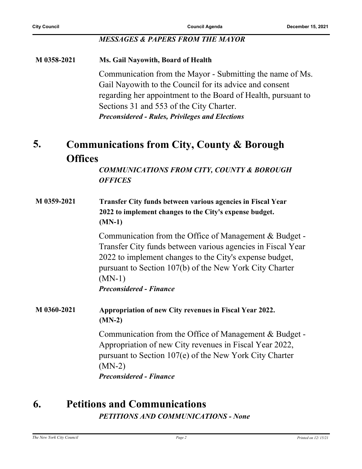#### *MESSAGES & PAPERS FROM THE MAYOR*

#### **M 0358-2021 Ms. Gail Nayowith, Board of Health**

Communication from the Mayor - Submitting the name of Ms. Gail Nayowith to the Council for its advice and consent regarding her appointment to the Board of Health, pursuant to Sections 31 and 553 of the City Charter. *Preconsidered - Rules, Privileges and Elections*

#### **Communications from City, County & Borough Offices 5.**

*COMMUNICATIONS FROM CITY, COUNTY & BOROUGH OFFICES*

**M 0359-2021 Transfer City funds between various agencies in Fiscal Year 2022 to implement changes to the City's expense budget. (MN-1)**

> Communication from the Office of Management & Budget - Transfer City funds between various agencies in Fiscal Year 2022 to implement changes to the City's expense budget, pursuant to Section 107(b) of the New York City Charter (MN-1) *Preconsidered - Finance*

**M 0360-2021 Appropriation of new City revenues in Fiscal Year 2022. (MN-2)**

> Communication from the Office of Management & Budget - Appropriation of new City revenues in Fiscal Year 2022, pursuant to Section 107(e) of the New York City Charter (MN-2) *Preconsidered - Finance*

# **6. Petitions and Communications**

*PETITIONS AND COMMUNICATIONS - None*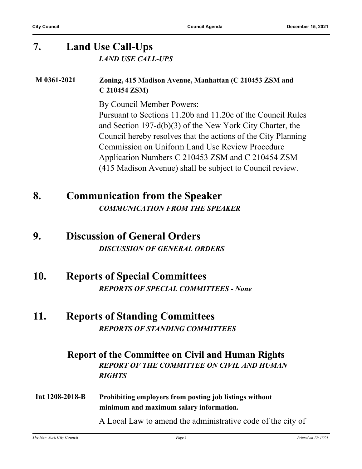## **7. Land Use Call-Ups** *LAND USE CALL-UPS*

#### **M 0361-2021 Zoning, 415 Madison Avenue, Manhattan (C 210453 ZSM and C 210454 ZSM)**

By Council Member Powers:

Pursuant to Sections 11.20b and 11.20c of the Council Rules and Section 197-d(b)(3) of the New York City Charter, the Council hereby resolves that the actions of the City Planning Commission on Uniform Land Use Review Procedure Application Numbers C 210453 ZSM and C 210454 ZSM (415 Madison Avenue) shall be subject to Council review.

**8. Communication from the Speaker** *COMMUNICATION FROM THE SPEAKER*

### **9. Discussion of General Orders** *DISCUSSION OF GENERAL ORDERS*

**10. Reports of Special Committees** *REPORTS OF SPECIAL COMMITTEES - None*

#### **11. Reports of Standing Committees** *REPORTS OF STANDING COMMITTEES*

#### **Report of the Committee on Civil and Human Rights** *REPORT OF THE COMMITTEE ON CIVIL AND HUMAN RIGHTS*

**Int 1208-2018-B Prohibiting employers from posting job listings without minimum and maximum salary information.**

A Local Law to amend the administrative code of the city of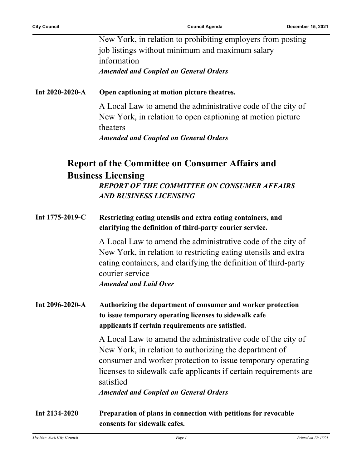New York, in relation to prohibiting employers from posting job listings without minimum and maximum salary information *Amended and Coupled on General Orders*

#### **Int 2020-2020-A Open captioning at motion picture theatres.**

A Local Law to amend the administrative code of the city of New York, in relation to open captioning at motion picture theaters *Amended and Coupled on General Orders*

## **Report of the Committee on Consumer Affairs and Business Licensing**

*REPORT OF THE COMMITTEE ON CONSUMER AFFAIRS AND BUSINESS LICENSING*

**Int 1775-2019-C Restricting eating utensils and extra eating containers, and clarifying the definition of third-party courier service.**

> A Local Law to amend the administrative code of the city of New York, in relation to restricting eating utensils and extra eating containers, and clarifying the definition of third-party courier service

*Amended and Laid Over*

**Int 2096-2020-A Authorizing the department of consumer and worker protection to issue temporary operating licenses to sidewalk cafe applicants if certain requirements are satisfied.**

> A Local Law to amend the administrative code of the city of New York, in relation to authorizing the department of consumer and worker protection to issue temporary operating licenses to sidewalk cafe applicants if certain requirements are satisfied

*Amended and Coupled on General Orders*

**Int 2134-2020 Preparation of plans in connection with petitions for revocable consents for sidewalk cafes.**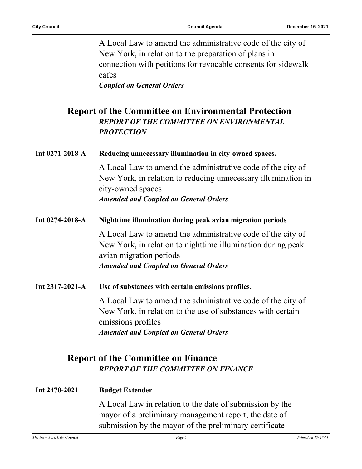A Local Law to amend the administrative code of the city of New York, in relation to the preparation of plans in connection with petitions for revocable consents for sidewalk cafes *Coupled on General Orders*

**Report of the Committee on Environmental Protection** *REPORT OF THE COMMITTEE ON ENVIRONMENTAL PROTECTION*

#### **Int 0271-2018-A Reducing unnecessary illumination in city-owned spaces.**

A Local Law to amend the administrative code of the city of New York, in relation to reducing unnecessary illumination in city-owned spaces *Amended and Coupled on General Orders*

- **Int 0274-2018-A Nighttime illumination during peak avian migration periods** A Local Law to amend the administrative code of the city of New York, in relation to nighttime illumination during peak avian migration periods *Amended and Coupled on General Orders*
- **Int 2317-2021-A Use of substances with certain emissions profiles.**

A Local Law to amend the administrative code of the city of New York, in relation to the use of substances with certain emissions profiles *Amended and Coupled on General Orders*

### **Report of the Committee on Finance** *REPORT OF THE COMMITTEE ON FINANCE*

| Int $2470 - 2021$ | <b>Budget Extender</b> |
|-------------------|------------------------|
|-------------------|------------------------|

A Local Law in relation to the date of submission by the mayor of a preliminary management report, the date of submission by the mayor of the preliminary certificate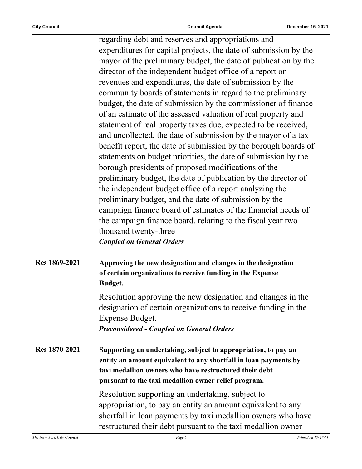regarding debt and reserves and appropriations and expenditures for capital projects, the date of submission by the mayor of the preliminary budget, the date of publication by the director of the independent budget office of a report on revenues and expenditures, the date of submission by the community boards of statements in regard to the preliminary budget, the date of submission by the commissioner of finance of an estimate of the assessed valuation of real property and statement of real property taxes due, expected to be received, and uncollected, the date of submission by the mayor of a tax benefit report, the date of submission by the borough boards of statements on budget priorities, the date of submission by the borough presidents of proposed modifications of the preliminary budget, the date of publication by the director of the independent budget office of a report analyzing the preliminary budget, and the date of submission by the campaign finance board of estimates of the financial needs of the campaign finance board, relating to the fiscal year two thousand twenty-three *Coupled on General Orders*

**Res 1869-2021 Approving the new designation and changes in the designation of certain organizations to receive funding in the Expense Budget.**

> Resolution approving the new designation and changes in the designation of certain organizations to receive funding in the Expense Budget. *Preconsidered - Coupled on General Orders*

**Res 1870-2021 Supporting an undertaking, subject to appropriation, to pay an entity an amount equivalent to any shortfall in loan payments by taxi medallion owners who have restructured their debt pursuant to the taxi medallion owner relief program.**

> Resolution supporting an undertaking, subject to appropriation, to pay an entity an amount equivalent to any shortfall in loan payments by taxi medallion owners who have restructured their debt pursuant to the taxi medallion owner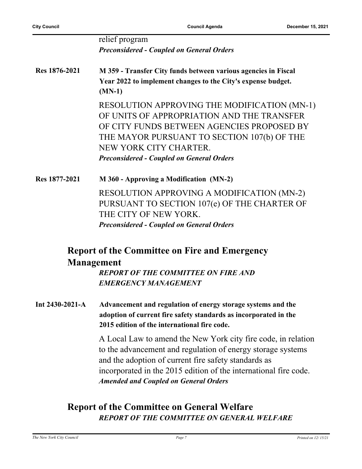|                 | relief program<br><b>Preconsidered - Coupled on General Orders</b>                                                                                                                                                                                                                                       |
|-----------------|----------------------------------------------------------------------------------------------------------------------------------------------------------------------------------------------------------------------------------------------------------------------------------------------------------|
| Res 1876-2021   | M 359 - Transfer City funds between various agencies in Fiscal<br>Year 2022 to implement changes to the City's expense budget.<br>$(MN-1)$                                                                                                                                                               |
|                 | RESOLUTION APPROVING THE MODIFICATION (MN-1)<br>OF UNITS OF APPROPRIATION AND THE TRANSFER<br>OF CITY FUNDS BETWEEN AGENCIES PROPOSED BY<br>THE MAYOR PURSUANT TO SECTION 107(b) OF THE<br>NEW YORK CITY CHARTER.<br><b>Preconsidered - Coupled on General Orders</b>                                    |
| Res 1877-2021   | M 360 - Approving a Modification (MN-2)                                                                                                                                                                                                                                                                  |
|                 | <b>RESOLUTION APPROVING A MODIFICATION (MN-2)</b><br>PURSUANT TO SECTION 107(e) OF THE CHARTER OF<br>THE CITY OF NEW YORK.<br><b>Preconsidered - Coupled on General Orders</b>                                                                                                                           |
|                 | <b>Report of the Committee on Fire and Emergency</b><br><b>Management</b>                                                                                                                                                                                                                                |
|                 | <b>REPORT OF THE COMMITTEE ON FIRE AND</b><br><b>EMERGENCY MANAGEMENT</b>                                                                                                                                                                                                                                |
| Int 2430-2021-A | Advancement and regulation of energy storage systems and the<br>adoption of current fire safety standards as incorporated in the<br>2015 edition of the international fire code.                                                                                                                         |
|                 | A Local Law to amend the New York city fire code, in relation<br>to the advancement and regulation of energy storage systems<br>and the adoption of current fire safety standards as<br>incorporated in the 2015 edition of the international fire code.<br><b>Amended and Coupled on General Orders</b> |

## **Report of the Committee on General Welfare** *REPORT OF THE COMMITTEE ON GENERAL WELFARE*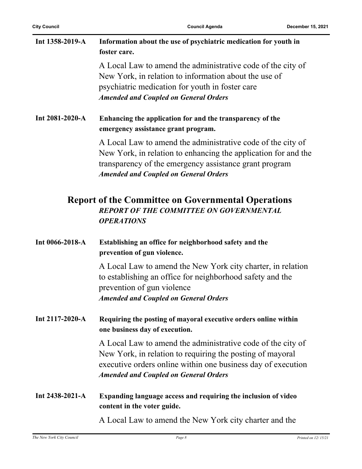| Int 1358-2019-A       | Information about the use of psychiatric medication for youth in<br>foster care.                                                                                                                                                         |
|-----------------------|------------------------------------------------------------------------------------------------------------------------------------------------------------------------------------------------------------------------------------------|
|                       | A Local Law to amend the administrative code of the city of<br>New York, in relation to information about the use of<br>psychiatric medication for youth in foster care<br><b>Amended and Coupled on General Orders</b>                  |
| Int 2081-2020-A       | Enhancing the application for and the transparency of the<br>emergency assistance grant program.                                                                                                                                         |
|                       | A Local Law to amend the administrative code of the city of<br>New York, in relation to enhancing the application for and the<br>transparency of the emergency assistance grant program<br><b>Amended and Coupled on General Orders</b>  |
|                       | <b>Report of the Committee on Governmental Operations</b><br><b>REPORT OF THE COMMITTEE ON GOVERNMENTAL</b><br><b>OPERATIONS</b>                                                                                                         |
| Int 0066-2018-A       | Establishing an office for neighborhood safety and the<br>prevention of gun violence.                                                                                                                                                    |
|                       | A Local Law to amend the New York city charter, in relation<br>to establishing an office for neighborhood safety and the<br>prevention of gun violence<br><b>Amended and Coupled on General Orders</b>                                   |
| Int $2117 - 2020 - A$ | Requiring the posting of mayoral executive orders online within<br>one business day of execution.                                                                                                                                        |
|                       | A Local Law to amend the administrative code of the city of<br>New York, in relation to requiring the posting of mayoral<br>executive orders online within one business day of execution<br><b>Amended and Coupled on General Orders</b> |
| Int 2438-2021-A       | Expanding language access and requiring the inclusion of video<br>content in the voter guide.                                                                                                                                            |
|                       | A Local Law to amend the New York city charter and the                                                                                                                                                                                   |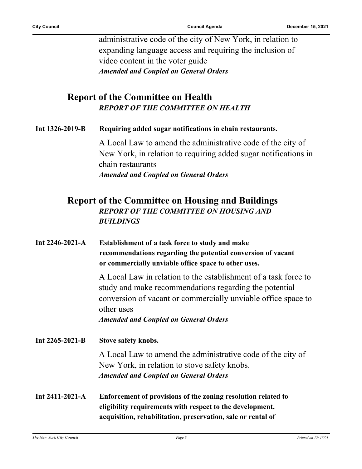administrative code of the city of New York, in relation to expanding language access and requiring the inclusion of video content in the voter guide *Amended and Coupled on General Orders*

#### **Report of the Committee on Health** *REPORT OF THE COMMITTEE ON HEALTH*

| Int 1326-2019-B | Requiring added sugar notifications in chain restaurants. |
|-----------------|-----------------------------------------------------------|
|                 |                                                           |

A Local Law to amend the administrative code of the city of New York, in relation to requiring added sugar notifications in chain restaurants *Amended and Coupled on General Orders*

#### **Report of the Committee on Housing and Buildings** *REPORT OF THE COMMITTEE ON HOUSING AND BUILDINGS*

| Int $2246 - 2021 - A$ | Establishment of a task force to study and make<br>recommendations regarding the potential conversion of vacant<br>or commercially unviable office space to other uses.                                  |
|-----------------------|----------------------------------------------------------------------------------------------------------------------------------------------------------------------------------------------------------|
|                       | A Local Law in relation to the establishment of a task force to<br>study and make recommendations regarding the potential<br>conversion of vacant or commercially unviable office space to<br>other uses |
|                       | <b>Amended and Coupled on General Orders</b>                                                                                                                                                             |
| Int $2265 - 2021 - B$ | <b>Stove safety knobs.</b>                                                                                                                                                                               |
|                       | A Local Law to amend the administrative code of the city of<br>New York, in relation to stove safety knobs.<br><b>Amended and Coupled on General Orders</b>                                              |
| Int $2411 - 2021 - A$ | Enforcement of provisions of the zoning resolution related to<br>eligibility requirements with respect to the development,                                                                               |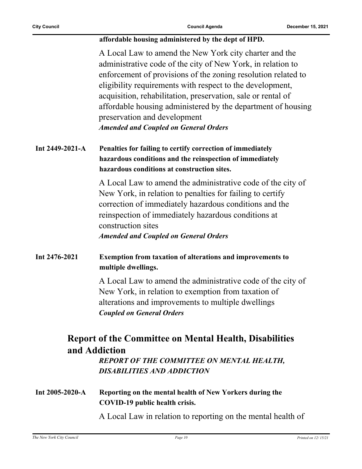#### **affordable housing administered by the dept of HPD.**

A Local Law to amend the New York city charter and the administrative code of the city of New York, in relation to enforcement of provisions of the zoning resolution related to eligibility requirements with respect to the development, acquisition, rehabilitation, preservation, sale or rental of affordable housing administered by the department of housing preservation and development *Amended and Coupled on General Orders*

#### **Int 2449-2021-A Penalties for failing to certify correction of immediately hazardous conditions and the reinspection of immediately hazardous conditions at construction sites.**

A Local Law to amend the administrative code of the city of New York, in relation to penalties for failing to certify correction of immediately hazardous conditions and the reinspection of immediately hazardous conditions at construction sites *Amended and Coupled on General Orders*

#### **Int 2476-2021 Exemption from taxation of alterations and improvements to multiple dwellings.**

A Local Law to amend the administrative code of the city of New York, in relation to exemption from taxation of alterations and improvements to multiple dwellings *Coupled on General Orders*

## **Report of the Committee on Mental Health, Disabilities and Addiction**

*REPORT OF THE COMMITTEE ON MENTAL HEALTH, DISABILITIES AND ADDICTION*

**Int 2005-2020-A Reporting on the mental health of New Yorkers during the COVID-19 public health crisis.**

A Local Law in relation to reporting on the mental health of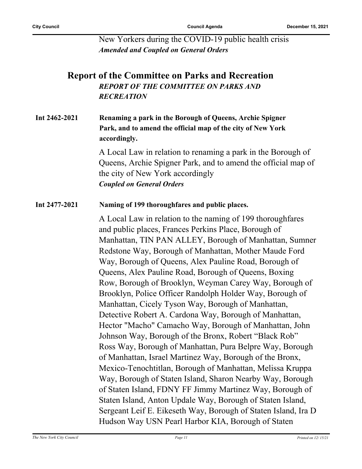New Yorkers during the COVID-19 public health crisis *Amended and Coupled on General Orders*

### **Report of the Committee on Parks and Recreation** *REPORT OF THE COMMITTEE ON PARKS AND RECREATION*

#### **Int 2462-2021 Renaming a park in the Borough of Queens, Archie Spigner Park, and to amend the official map of the city of New York accordingly.**

A Local Law in relation to renaming a park in the Borough of Queens, Archie Spigner Park, and to amend the official map of the city of New York accordingly *Coupled on General Orders*

#### **Int 2477-2021 Naming of 199 thoroughfares and public places.**

A Local Law in relation to the naming of 199 thoroughfares and public places, Frances Perkins Place, Borough of Manhattan, TIN PAN ALLEY, Borough of Manhattan, Sumner Redstone Way, Borough of Manhattan, Mother Maude Ford Way, Borough of Queens, Alex Pauline Road, Borough of Queens, Alex Pauline Road, Borough of Queens, Boxing Row, Borough of Brooklyn, Weyman Carey Way, Borough of Brooklyn, Police Officer Randolph Holder Way, Borough of Manhattan, Cicely Tyson Way, Borough of Manhattan, Detective Robert A. Cardona Way, Borough of Manhattan, Hector "Macho" Camacho Way, Borough of Manhattan, John Johnson Way, Borough of the Bronx, Robert "Black Rob" Ross Way, Borough of Manhattan, Pura Belpre Way, Borough of Manhattan, Israel Martinez Way, Borough of the Bronx, Mexico-Tenochtitlan, Borough of Manhattan, Melissa Kruppa Way, Borough of Staten Island, Sharon Nearby Way, Borough of Staten Island, FDNY FF Jimmy Martinez Way, Borough of Staten Island, Anton Updale Way, Borough of Staten Island, Sergeant Leif E. Eikeseth Way, Borough of Staten Island, Ira D Hudson Way USN Pearl Harbor KIA, Borough of Staten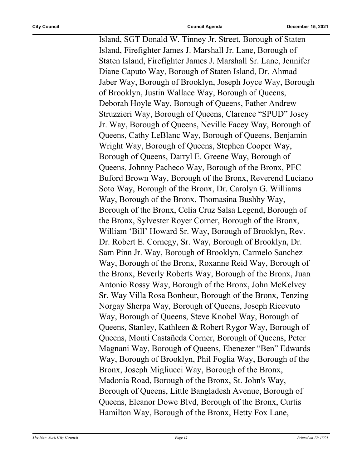Island, SGT Donald W. Tinney Jr. Street, Borough of Staten Island, Firefighter James J. Marshall Jr. Lane, Borough of Staten Island, Firefighter James J. Marshall Sr. Lane, Jennifer Diane Caputo Way, Borough of Staten Island, Dr. Ahmad Jaber Way, Borough of Brooklyn, Joseph Joyce Way, Borough of Brooklyn, Justin Wallace Way, Borough of Queens, Deborah Hoyle Way, Borough of Queens, Father Andrew Struzzieri Way, Borough of Queens, Clarence "SPUD" Josey Jr. Way, Borough of Queens, Neville Facey Way, Borough of Queens, Cathy LeBlanc Way, Borough of Queens, Benjamin Wright Way, Borough of Queens, Stephen Cooper Way, Borough of Queens, Darryl E. Greene Way, Borough of Queens, Johnny Pacheco Way, Borough of the Bronx, PFC Buford Brown Way, Borough of the Bronx, Reverend Luciano Soto Way, Borough of the Bronx, Dr. Carolyn G. Williams Way, Borough of the Bronx, Thomasina Bushby Way, Borough of the Bronx, Celia Cruz Salsa Legend, Borough of the Bronx, Sylvester Royer Corner, Borough of the Bronx, William 'Bill' Howard Sr. Way, Borough of Brooklyn, Rev. Dr. Robert E. Cornegy, Sr. Way, Borough of Brooklyn, Dr. Sam Pinn Jr. Way, Borough of Brooklyn, Carmelo Sanchez Way, Borough of the Bronx, Roxanne Reid Way, Borough of the Bronx, Beverly Roberts Way, Borough of the Bronx, Juan Antonio Rossy Way, Borough of the Bronx, John McKelvey Sr. Way Villa Rosa Bonheur, Borough of the Bronx, Tenzing Norgay Sherpa Way, Borough of Queens, Joseph Ricevuto Way, Borough of Queens, Steve Knobel Way, Borough of Queens, Stanley, Kathleen & Robert Rygor Way, Borough of Queens, Monti Castañeda Corner, Borough of Queens, Peter Magnani Way, Borough of Queens, Ebenezer "Ben" Edwards Way, Borough of Brooklyn, Phil Foglia Way, Borough of the Bronx, Joseph Migliucci Way, Borough of the Bronx, Madonia Road, Borough of the Bronx, St. John's Way, Borough of Queens, Little Bangladesh Avenue, Borough of Queens, Eleanor Dowe Blvd, Borough of the Bronx, Curtis Hamilton Way, Borough of the Bronx, Hetty Fox Lane,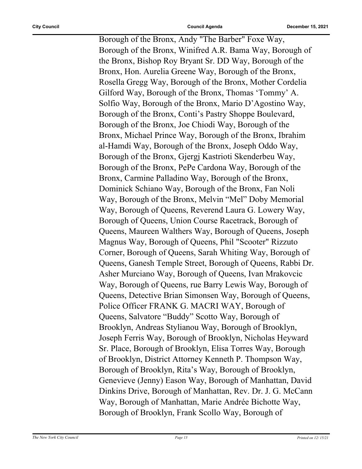Borough of the Bronx, Andy "The Barber" Foxe Way, Borough of the Bronx, Winifred A.R. Bama Way, Borough of the Bronx, Bishop Roy Bryant Sr. DD Way, Borough of the Bronx, Hon. Aurelia Greene Way, Borough of the Bronx, Rosella Gregg Way, Borough of the Bronx, Mother Cordelia Gilford Way, Borough of the Bronx, Thomas 'Tommy' A. Solfio Way, Borough of the Bronx, Mario D'Agostino Way, Borough of the Bronx, Conti's Pastry Shoppe Boulevard, Borough of the Bronx, Joe Chiodi Way, Borough of the Bronx, Michael Prince Way, Borough of the Bronx, Ibrahim al-Hamdi Way, Borough of the Bronx, Joseph Oddo Way, Borough of the Bronx, Gjergj Kastrioti Skenderbeu Way, Borough of the Bronx, PePe Cardona Way, Borough of the Bronx, Carmine Palladino Way, Borough of the Bronx, Dominick Schiano Way, Borough of the Bronx, Fan Noli Way, Borough of the Bronx, Melvin "Mel" Doby Memorial Way, Borough of Queens, Reverend Laura G. Lowery Way, Borough of Queens, Union Course Racetrack, Borough of Queens, Maureen Walthers Way, Borough of Queens, Joseph Magnus Way, Borough of Queens, Phil "Scooter" Rizzuto Corner, Borough of Queens, Sarah Whiting Way, Borough of Queens, Ganesh Temple Street, Borough of Queens, Rabbi Dr. Asher Murciano Way, Borough of Queens, Ivan Mrakovcic Way, Borough of Queens, rue Barry Lewis Way, Borough of Queens, Detective Brian Simonsen Way, Borough of Queens, Police Officer FRANK G. MACRI WAY, Borough of Queens, Salvatore "Buddy" Scotto Way, Borough of Brooklyn, Andreas Stylianou Way, Borough of Brooklyn, Joseph Ferris Way, Borough of Brooklyn, Nicholas Heyward Sr. Place, Borough of Brooklyn, Elisa Torres Way, Borough of Brooklyn, District Attorney Kenneth P. Thompson Way, Borough of Brooklyn, Rita's Way, Borough of Brooklyn, Genevieve (Jenny) Eason Way, Borough of Manhattan, David Dinkins Drive, Borough of Manhattan, Rev. Dr. J. G. McCann Way, Borough of Manhattan, Marie Andrée Bichotte Way, Borough of Brooklyn, Frank Scollo Way, Borough of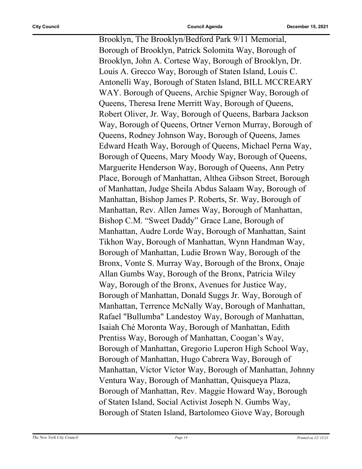Brooklyn, The Brooklyn/Bedford Park 9/11 Memorial, Borough of Brooklyn, Patrick Solomita Way, Borough of Brooklyn, John A. Cortese Way, Borough of Brooklyn, Dr. Louis A. Grecco Way, Borough of Staten Island, Louis C. Antonelli Way, Borough of Staten Island, BILL MCCREARY WAY. Borough of Queens, Archie Spigner Way, Borough of Queens, Theresa Irene Merritt Way, Borough of Queens, Robert Oliver, Jr. Way, Borough of Queens, Barbara Jackson Way, Borough of Queens, Ortner Vernon Murray, Borough of Queens, Rodney Johnson Way, Borough of Queens, James Edward Heath Way, Borough of Queens, Michael Perna Way, Borough of Queens, Mary Moody Way, Borough of Queens, Marguerite Henderson Way, Borough of Queens, Ann Petry Place, Borough of Manhattan, Althea Gibson Street, Borough of Manhattan, Judge Sheila Abdus Salaam Way, Borough of Manhattan, Bishop James P. Roberts, Sr. Way, Borough of Manhattan, Rev. Allen James Way, Borough of Manhattan, Bishop C.M. "Sweet Daddy" Grace Lane, Borough of Manhattan, Audre Lorde Way, Borough of Manhattan, Saint Tikhon Way, Borough of Manhattan, Wynn Handman Way, Borough of Manhattan, Ludie Brown Way, Borough of the Bronx, Vonte S. Murray Way, Borough of the Bronx, Onaje Allan Gumbs Way, Borough of the Bronx, Patricia Wiley Way, Borough of the Bronx, Avenues for Justice Way, Borough of Manhattan, Donald Suggs Jr. Way, Borough of Manhattan, Terrence McNally Way, Borough of Manhattan, Rafael "Bullumba" Landestoy Way, Borough of Manhattan, Isaiah Ché Moronta Way, Borough of Manhattan, Edith Prentiss Way, Borough of Manhattan, Coogan's Way, Borough of Manhattan, Gregorio Luperon High School Way, Borough of Manhattan, Hugo Cabrera Way, Borough of Manhattan, Víctor Víctor Way, Borough of Manhattan, Johnny Ventura Way, Borough of Manhattan, Quisqueya Plaza, Borough of Manhattan, Rev. Maggie Howard Way, Borough of Staten Island, Social Activist Joseph N. Gumbs Way, Borough of Staten Island, Bartolomeo Giove Way, Borough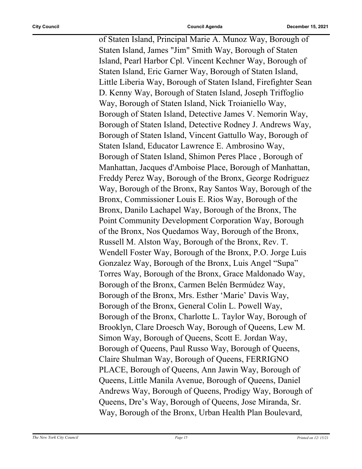of Staten Island, Principal Marie A. Munoz Way, Borough of Staten Island, James "Jim" Smith Way, Borough of Staten Island, Pearl Harbor Cpl. Vincent Kechner Way, Borough of Staten Island, Eric Garner Way, Borough of Staten Island, Little Liberia Way, Borough of Staten Island, Firefighter Sean D. Kenny Way, Borough of Staten Island, Joseph Triffoglio Way, Borough of Staten Island, Nick Troianiello Way, Borough of Staten Island, Detective James V. Nemorin Way, Borough of Staten Island, Detective Rodney J. Andrews Way, Borough of Staten Island, Vincent Gattullo Way, Borough of Staten Island, Educator Lawrence E. Ambrosino Way, Borough of Staten Island, Shimon Peres Place , Borough of Manhattan, Jacques d'Amboise Place, Borough of Manhattan, Freddy Perez Way, Borough of the Bronx, George Rodriguez Way, Borough of the Bronx, Ray Santos Way, Borough of the Bronx, Commissioner Louis E. Rios Way, Borough of the Bronx, Danilo Lachapel Way, Borough of the Bronx, The Point Community Development Corporation Way, Borough of the Bronx, Nos Quedamos Way, Borough of the Bronx, Russell M. Alston Way, Borough of the Bronx, Rev. T. Wendell Foster Way, Borough of the Bronx, P.O. Jorge Luis Gonzalez Way, Borough of the Bronx, Luis Angel "Supa" Torres Way, Borough of the Bronx, Grace Maldonado Way, Borough of the Bronx, Carmen Belén Bermúdez Way, Borough of the Bronx, Mrs. Esther 'Marie' Davis Way, Borough of the Bronx, General Colin L. Powell Way, Borough of the Bronx, Charlotte L. Taylor Way, Borough of Brooklyn, Clare Droesch Way, Borough of Queens, Lew M. Simon Way, Borough of Queens, Scott E. Jordan Way, Borough of Queens, Paul Russo Way, Borough of Queens, Claire Shulman Way, Borough of Queens, FERRIGNO PLACE, Borough of Queens, Ann Jawin Way, Borough of Queens, Little Manila Avenue, Borough of Queens, Daniel Andrews Way, Borough of Queens, Prodigy Way, Borough of Queens, Dre's Way, Borough of Queens, Jose Miranda, Sr. Way, Borough of the Bronx, Urban Health Plan Boulevard,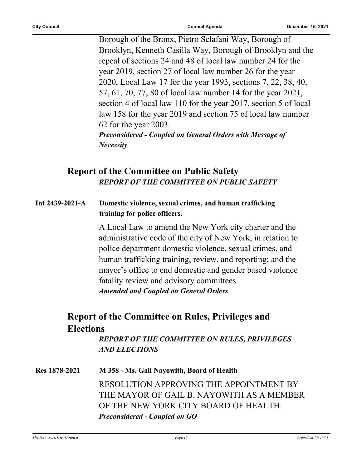Borough of the Bronx, Pietro Sclafani Way, Borough of Brooklyn, Kenneth Casilla Way, Borough of Brooklyn and the repeal of sections 24 and 48 of local law number 24 for the year 2019, section 27 of local law number 26 for the year 2020, Local Law 17 for the year 1993, sections 7, 22, 38, 40, 57, 61, 70, 77, 80 of local law number 14 for the year 2021, section 4 of local law 110 for the year 2017, section 5 of local law 158 for the year 2019 and section 75 of local law number 62 for the year 2003. *Preconsidered - Coupled on General Orders with Message of* 

*Necessity*

## **Report of the Committee on Public Safety** *REPORT OF THE COMMITTEE ON PUBLIC SAFETY*

**Int 2439-2021-A Domestic violence, sexual crimes, and human trafficking training for police officers.**

> A Local Law to amend the New York city charter and the administrative code of the city of New York, in relation to police department domestic violence, sexual crimes, and human trafficking training, review, and reporting; and the mayor's office to end domestic and gender based violence fatality review and advisory committees *Amended and Coupled on General Orders*

## **Report of the Committee on Rules, Privileges and Elections**

*REPORT OF THE COMMITTEE ON RULES, PRIVILEGES AND ELECTIONS*

**Res 1878-2021 M 358 - Ms. Gail Nayowith, Board of Health** RESOLUTION APPROVING THE APPOINTMENT BY THE MAYOR OF GAIL B. NAYOWITH AS A MEMBER OF THE NEW YORK CITY BOARD OF HEALTH. *Preconsidered - Coupled on GO*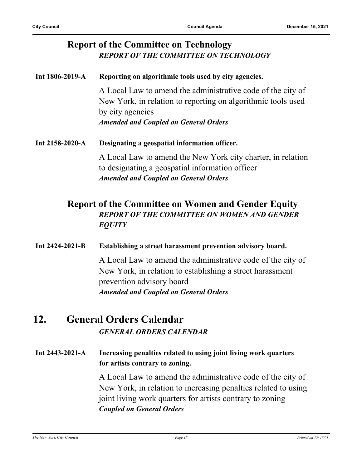#### **Report of the Committee on Technology** *REPORT OF THE COMMITTEE ON TECHNOLOGY*

**Int 1806-2019-A Reporting on algorithmic tools used by city agencies.** A Local Law to amend the administrative code of the city of New York, in relation to reporting on algorithmic tools used by city agencies *Amended and Coupled on General Orders* **Int 2158-2020-A Designating a geospatial information officer.** A Local Law to amend the New York city charter, in relation to designating a geospatial information officer *Amended and Coupled on General Orders*

### **Report of the Committee on Women and Gender Equity** *REPORT OF THE COMMITTEE ON WOMEN AND GENDER EQUITY*

#### **Int 2424-2021-B Establishing a street harassment prevention advisory board.**

A Local Law to amend the administrative code of the city of New York, in relation to establishing a street harassment prevention advisory board *Amended and Coupled on General Orders*

### **12. General Orders Calendar** *GENERAL ORDERS CALENDAR*

**Int 2443-2021-A Increasing penalties related to using joint living work quarters for artists contrary to zoning.**

> A Local Law to amend the administrative code of the city of New York, in relation to increasing penalties related to using joint living work quarters for artists contrary to zoning *Coupled on General Orders*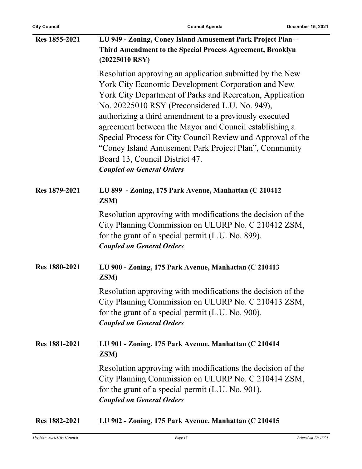| Res 1855-2021        | LU 949 - Zoning, Coney Island Amusement Park Project Plan -<br>Third Amendment to the Special Process Agreement, Brooklyn<br>$(20225010$ RSY)                                                                                                                                                                                                                                                                                                                                                                                                   |
|----------------------|-------------------------------------------------------------------------------------------------------------------------------------------------------------------------------------------------------------------------------------------------------------------------------------------------------------------------------------------------------------------------------------------------------------------------------------------------------------------------------------------------------------------------------------------------|
|                      | Resolution approving an application submitted by the New<br>York City Economic Development Corporation and New<br>York City Department of Parks and Recreation, Application<br>No. 20225010 RSY (Preconsidered L.U. No. 949),<br>authorizing a third amendment to a previously executed<br>agreement between the Mayor and Council establishing a<br>Special Process for City Council Review and Approval of the<br>"Coney Island Amusement Park Project Plan", Community<br>Board 13, Council District 47.<br><b>Coupled on General Orders</b> |
| Res 1879-2021        | LU 899 - Zoning, 175 Park Avenue, Manhattan (C 210412<br>ZSM)                                                                                                                                                                                                                                                                                                                                                                                                                                                                                   |
|                      | Resolution approving with modifications the decision of the<br>City Planning Commission on ULURP No. C 210412 ZSM,<br>for the grant of a special permit (L.U. No. 899).<br><b>Coupled on General Orders</b>                                                                                                                                                                                                                                                                                                                                     |
| Res 1880-2021        | LU 900 - Zoning, 175 Park Avenue, Manhattan (C 210413<br>ZSM)                                                                                                                                                                                                                                                                                                                                                                                                                                                                                   |
|                      | Resolution approving with modifications the decision of the<br>City Planning Commission on ULURP No. C 210413 ZSM,<br>for the grant of a special permit (L.U. No. 900).<br><b>Coupled on General Orders</b>                                                                                                                                                                                                                                                                                                                                     |
| <b>Res 1881-2021</b> | LU 901 - Zoning, 175 Park Avenue, Manhattan (C 210414<br>ZSM)                                                                                                                                                                                                                                                                                                                                                                                                                                                                                   |
|                      | Resolution approving with modifications the decision of the<br>City Planning Commission on ULURP No. C 210414 ZSM,<br>for the grant of a special permit (L.U. No. 901).<br><b>Coupled on General Orders</b>                                                                                                                                                                                                                                                                                                                                     |
| Res 1882-2021        | LU 902 - Zoning, 175 Park Avenue, Manhattan (C 210415                                                                                                                                                                                                                                                                                                                                                                                                                                                                                           |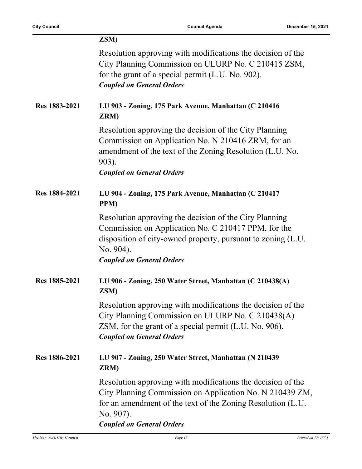|               | ZSM)                                                                                                                                                                                                                                    |
|---------------|-----------------------------------------------------------------------------------------------------------------------------------------------------------------------------------------------------------------------------------------|
|               | Resolution approving with modifications the decision of the<br>City Planning Commission on ULURP No. C 210415 ZSM,<br>for the grant of a special permit (L.U. No. 902).<br><b>Coupled on General Orders</b>                             |
| Res 1883-2021 | LU 903 - Zoning, 175 Park Avenue, Manhattan (C 210416<br>ZRM)                                                                                                                                                                           |
|               | Resolution approving the decision of the City Planning<br>Commission on Application No. N 210416 ZRM, for an<br>amendment of the text of the Zoning Resolution (L.U. No.<br>903).<br><b>Coupled on General Orders</b>                   |
| Res 1884-2021 | LU 904 - Zoning, 175 Park Avenue, Manhattan (C 210417<br>PPM)                                                                                                                                                                           |
|               | Resolution approving the decision of the City Planning<br>Commission on Application No. C 210417 PPM, for the<br>disposition of city-owned property, pursuant to zoning (L.U.<br>No. 904).<br><b>Coupled on General Orders</b>          |
| Res 1885-2021 | LU 906 - Zoning, 250 Water Street, Manhattan (C 210438(A)<br>ZSM)                                                                                                                                                                       |
|               | Resolution approving with modifications the decision of the<br>City Planning Commission on ULURP No. C 210438(A)<br>ZSM, for the grant of a special permit (L.U. No. 906).<br><b>Coupled on General Orders</b>                          |
| Res 1886-2021 | LU 907 - Zoning, 250 Water Street, Manhattan (N 210439<br>ZRM)                                                                                                                                                                          |
|               | Resolution approving with modifications the decision of the<br>City Planning Commission on Application No. N 210439 ZM,<br>for an amendment of the text of the Zoning Resolution (L.U.<br>No. 907).<br><b>Coupled on General Orders</b> |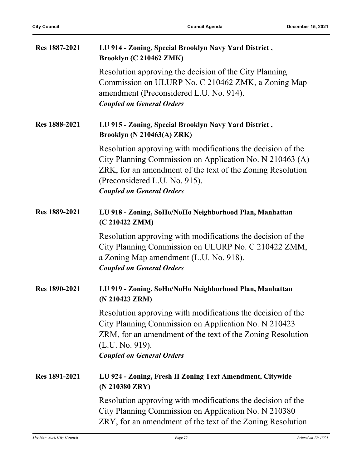| Res 1887-2021 | LU 914 - Zoning, Special Brooklyn Navy Yard District,<br>Brooklyn (C 210462 ZMK)                                                                                                                                                                           |
|---------------|------------------------------------------------------------------------------------------------------------------------------------------------------------------------------------------------------------------------------------------------------------|
|               | Resolution approving the decision of the City Planning<br>Commission on ULURP No. C 210462 ZMK, a Zoning Map<br>amendment (Preconsidered L.U. No. 914).<br><b>Coupled on General Orders</b>                                                                |
| Res 1888-2021 | LU 915 - Zoning, Special Brooklyn Navy Yard District,<br><b>Brooklyn (N 210463(A) ZRK)</b>                                                                                                                                                                 |
|               | Resolution approving with modifications the decision of the<br>City Planning Commission on Application No. N 210463 (A)<br>ZRK, for an amendment of the text of the Zoning Resolution<br>(Preconsidered L.U. No. 915).<br><b>Coupled on General Orders</b> |
| Res 1889-2021 | LU 918 - Zoning, SoHo/NoHo Neighborhood Plan, Manhattan<br>(C 210422 ZMM)                                                                                                                                                                                  |
|               | Resolution approving with modifications the decision of the<br>City Planning Commission on ULURP No. C 210422 ZMM,<br>a Zoning Map amendment (L.U. No. 918).<br><b>Coupled on General Orders</b>                                                           |
| Res 1890-2021 | LU 919 - Zoning, SoHo/NoHo Neighborhood Plan, Manhattan<br>(N 210423 ZRM)                                                                                                                                                                                  |
|               | Resolution approving with modifications the decision of the<br>City Planning Commission on Application No. N 210423<br>ZRM, for an amendment of the text of the Zoning Resolution<br>(L.U. No. 919).<br><b>Coupled on General Orders</b>                   |
| Res 1891-2021 | LU 924 - Zoning, Fresh II Zoning Text Amendment, Citywide<br>(N 210380 ZRY)                                                                                                                                                                                |
|               | Resolution approving with modifications the decision of the<br>City Planning Commission on Application No. N 210380<br>ZRY, for an amendment of the text of the Zoning Resolution                                                                          |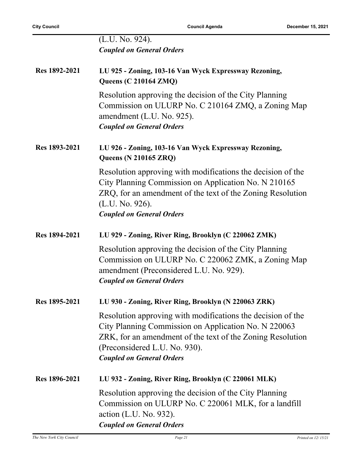|               | (L.U. No. 924).<br><b>Coupled on General Orders</b>                                                                                                                                                                                                    |
|---------------|--------------------------------------------------------------------------------------------------------------------------------------------------------------------------------------------------------------------------------------------------------|
| Res 1892-2021 | LU 925 - Zoning, 103-16 Van Wyck Expressway Rezoning,<br><b>Queens (C 210164 ZMQ)</b>                                                                                                                                                                  |
|               | Resolution approving the decision of the City Planning<br>Commission on ULURP No. C 210164 ZMQ, a Zoning Map<br>amendment (L.U. No. 925).<br><b>Coupled on General Orders</b>                                                                          |
| Res 1893-2021 | LU 926 - Zoning, 103-16 Van Wyck Expressway Rezoning,<br><b>Queens (N 210165 ZRQ)</b>                                                                                                                                                                  |
|               | Resolution approving with modifications the decision of the<br>City Planning Commission on Application No. N 210165<br>ZRQ, for an amendment of the text of the Zoning Resolution<br>(L.U. No. 926).<br><b>Coupled on General Orders</b>               |
| Res 1894-2021 | LU 929 - Zoning, River Ring, Brooklyn (C 220062 ZMK)                                                                                                                                                                                                   |
|               | Resolution approving the decision of the City Planning<br>Commission on ULURP No. C 220062 ZMK, a Zoning Map<br>amendment (Preconsidered L.U. No. 929).<br><b>Coupled on General Orders</b>                                                            |
| Res 1895-2021 | LU 930 - Zoning, River Ring, Brooklyn (N 220063 ZRK)                                                                                                                                                                                                   |
|               | Resolution approving with modifications the decision of the<br>City Planning Commission on Application No. N 220063<br>ZRK, for an amendment of the text of the Zoning Resolution<br>(Preconsidered L.U. No. 930).<br><b>Coupled on General Orders</b> |
| Res 1896-2021 | LU 932 - Zoning, River Ring, Brooklyn (C 220061 MLK)                                                                                                                                                                                                   |
|               | Resolution approving the decision of the City Planning<br>Commission on ULURP No. C 220061 MLK, for a landfill<br>action (L.U. No. 932).<br><b>Coupled on General Orders</b>                                                                           |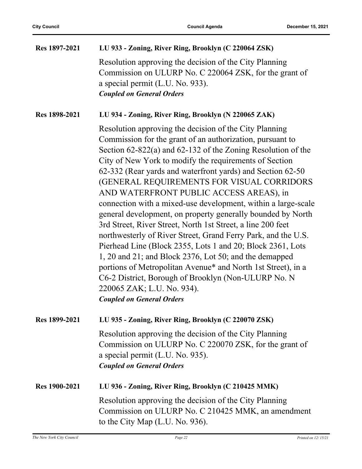| Res 1897-2021 | LU 933 - Zoning, River Ring, Brooklyn (C 220064 ZSK)                                                                                                                                                                                                                                                                                                                                                                                                                                                                                                                                                                                                                                                                                                                                                                                                                                                                                                                                      |
|---------------|-------------------------------------------------------------------------------------------------------------------------------------------------------------------------------------------------------------------------------------------------------------------------------------------------------------------------------------------------------------------------------------------------------------------------------------------------------------------------------------------------------------------------------------------------------------------------------------------------------------------------------------------------------------------------------------------------------------------------------------------------------------------------------------------------------------------------------------------------------------------------------------------------------------------------------------------------------------------------------------------|
|               | Resolution approving the decision of the City Planning<br>Commission on ULURP No. C 220064 ZSK, for the grant of<br>a special permit (L.U. No. 933).<br><b>Coupled on General Orders</b>                                                                                                                                                                                                                                                                                                                                                                                                                                                                                                                                                                                                                                                                                                                                                                                                  |
| Res 1898-2021 | LU 934 - Zoning, River Ring, Brooklyn (N 220065 ZAK)                                                                                                                                                                                                                                                                                                                                                                                                                                                                                                                                                                                                                                                                                                                                                                                                                                                                                                                                      |
|               | Resolution approving the decision of the City Planning<br>Commission for the grant of an authorization, pursuant to<br>Section $62-822(a)$ and $62-132$ of the Zoning Resolution of the<br>City of New York to modify the requirements of Section<br>62-332 (Rear yards and waterfront yards) and Section 62-50<br>(GENERAL REQUIREMENTS FOR VISUAL CORRIDORS<br>AND WATERFRONT PUBLIC ACCESS AREAS), in<br>connection with a mixed-use development, within a large-scale<br>general development, on property generally bounded by North<br>3rd Street, River Street, North 1st Street, a line 200 feet<br>northwesterly of River Street, Grand Ferry Park, and the U.S.<br>Pierhead Line (Block 2355, Lots 1 and 20; Block 2361, Lots<br>1, 20 and 21; and Block 2376, Lot 50; and the demapped<br>portions of Metropolitan Avenue* and North 1st Street), in a<br>C6-2 District, Borough of Brooklyn (Non-ULURP No. N<br>220065 ZAK; L.U. No. 934).<br><b>Coupled on General Orders</b> |
| Res 1899-2021 | LU 935 - Zoning, River Ring, Brooklyn (C 220070 ZSK)                                                                                                                                                                                                                                                                                                                                                                                                                                                                                                                                                                                                                                                                                                                                                                                                                                                                                                                                      |
|               | Resolution approving the decision of the City Planning<br>Commission on ULURP No. C 220070 ZSK, for the grant of<br>a special permit (L.U. No. 935).<br><b>Coupled on General Orders</b>                                                                                                                                                                                                                                                                                                                                                                                                                                                                                                                                                                                                                                                                                                                                                                                                  |
| Res 1900-2021 | LU 936 - Zoning, River Ring, Brooklyn (C 210425 MMK)                                                                                                                                                                                                                                                                                                                                                                                                                                                                                                                                                                                                                                                                                                                                                                                                                                                                                                                                      |
|               | Resolution approving the decision of the City Planning<br>Commission on ULURP No. C 210425 MMK, an amendment<br>to the City Map (L.U. No. 936).                                                                                                                                                                                                                                                                                                                                                                                                                                                                                                                                                                                                                                                                                                                                                                                                                                           |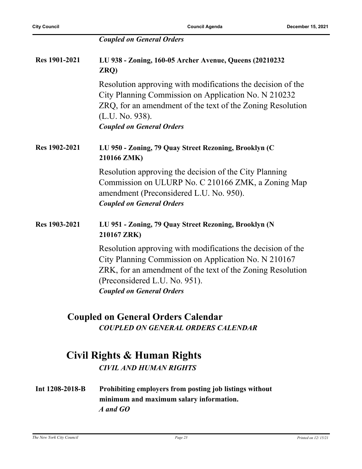|                      | <b>Coupled on General Orders</b>                                                                                                                                                                                                                       |
|----------------------|--------------------------------------------------------------------------------------------------------------------------------------------------------------------------------------------------------------------------------------------------------|
| <b>Res 1901-2021</b> | LU 938 - Zoning, 160-05 Archer Avenue, Queens (20210232<br>ZRQ)                                                                                                                                                                                        |
|                      | Resolution approving with modifications the decision of the<br>City Planning Commission on Application No. N 210232<br>ZRQ, for an amendment of the text of the Zoning Resolution<br>(L.U. No. 938).<br><b>Coupled on General Orders</b>               |
| Res 1902-2021        | LU 950 - Zoning, 79 Quay Street Rezoning, Brooklyn (C<br>210166 ZMK)                                                                                                                                                                                   |
|                      | Resolution approving the decision of the City Planning<br>Commission on ULURP No. C 210166 ZMK, a Zoning Map<br>amendment (Preconsidered L.U. No. 950).<br><b>Coupled on General Orders</b>                                                            |
| Res 1903-2021        | LU 951 - Zoning, 79 Quay Street Rezoning, Brooklyn (N<br>210167 ZRK)                                                                                                                                                                                   |
|                      | Resolution approving with modifications the decision of the<br>City Planning Commission on Application No. N 210167<br>ZRK, for an amendment of the text of the Zoning Resolution<br>(Preconsidered L.U. No. 951).<br><b>Coupled on General Orders</b> |
|                      | <b>Coupled on General Orders Calendar</b>                                                                                                                                                                                                              |

*COUPLED ON GENERAL ORDERS CALENDAR*

## **Civil Rights & Human Rights**

*CIVIL AND HUMAN RIGHTS*

**Int 1208-2018-B Prohibiting employers from posting job listings without minimum and maximum salary information.** *A and GO*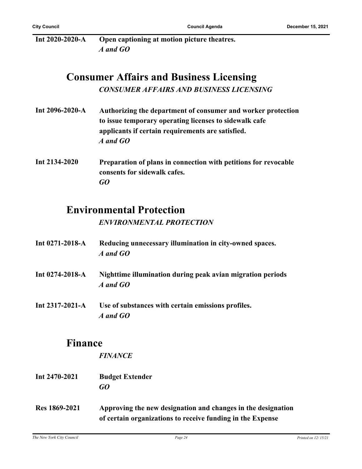| Int 2020-2020-A | Open captioning at motion picture theatres. |
|-----------------|---------------------------------------------|
|                 | A and GO                                    |

## **Consumer Affairs and Business Licensing** *CONSUMER AFFAIRS AND BUSINESS LICENSING*

| Authorizing the department of consumer and worker protection |
|--------------------------------------------------------------|
| to issue temporary operating licenses to sidewalk cafe       |
| applicants if certain requirements are satisfied.            |
| A and GO                                                     |
|                                                              |
|                                                              |

**Int 2134-2020 Preparation of plans in connection with petitions for revocable consents for sidewalk cafes.** *GO*

## **Environmental Protection**

#### *ENVIRONMENTAL PROTECTION*

- **Int 0271-2018-A Reducing unnecessary illumination in city-owned spaces.** *A and GO*
- **Int 0274-2018-A Nighttime illumination during peak avian migration periods** *A and GO*
- **Int 2317-2021-A Use of substances with certain emissions profiles.** *A and GO*

#### **Finance**

*FINANCE*

- **Int 2470-2021 Budget Extender** *GO*
- **Res 1869-2021 Approving the new designation and changes in the designation of certain organizations to receive funding in the Expense**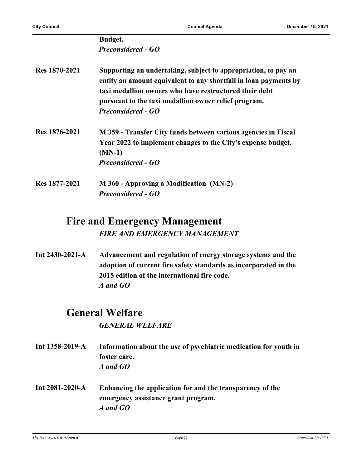|               | <b>Budget.</b>                                                                                                                                                                                                                                                                    |
|---------------|-----------------------------------------------------------------------------------------------------------------------------------------------------------------------------------------------------------------------------------------------------------------------------------|
|               | <b>Preconsidered - GO</b>                                                                                                                                                                                                                                                         |
| Res 1870-2021 | Supporting an undertaking, subject to appropriation, to pay an<br>entity an amount equivalent to any shortfall in loan payments by<br>taxi medallion owners who have restructured their debt<br>pursuant to the taxi medallion owner relief program.<br><b>Preconsidered - GO</b> |
| Res 1876-2021 | M 359 - Transfer City funds between various agencies in Fiscal<br>Year 2022 to implement changes to the City's expense budget.<br>$(MN-1)$<br><b>Preconsidered - GO</b>                                                                                                           |
| Res 1877-2021 | M 360 - Approving a Modification (MN-2)<br><b>Preconsidered - GO</b>                                                                                                                                                                                                              |

## **Fire and Emergency Management** *FIRE AND EMERGENCY MANAGEMENT*

**Int 2430-2021-A Advancement and regulation of energy storage systems and the adoption of current fire safety standards as incorporated in the 2015 edition of the international fire code.** *A and GO*

# **General Welfare**

*GENERAL WELFARE*

- **Int 1358-2019-A Information about the use of psychiatric medication for youth in foster care.** *A and GO*
- **Int 2081-2020-A Enhancing the application for and the transparency of the emergency assistance grant program.** *A and GO*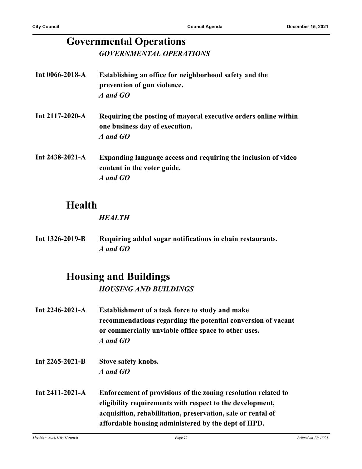### **Governmental Operations** *GOVERNMENTAL OPERATIONS*

| Int $0066 - 2018 - A$ | Establishing an office for neighborhood safety and the<br>prevention of gun violence.<br>A and GO             |
|-----------------------|---------------------------------------------------------------------------------------------------------------|
| Int 2117-2020-A       | Requiring the posting of mayoral executive orders online within<br>one business day of execution.<br>A and GO |
| Int 2438-2021-A       | Expanding language access and requiring the inclusion of video<br>content in the voter guide.<br>A and GO     |

## **Health**

#### *HEALTH*

**Int 1326-2019-B Requiring added sugar notifications in chain restaurants.** *A and GO*

## **Housing and Buildings**

*HOUSING AND BUILDINGS*

- **Int 2246-2021-A Establishment of a task force to study and make recommendations regarding the potential conversion of vacant or commercially unviable office space to other uses.** *A and GO*
- **Int 2265-2021-B Stove safety knobs.** *A and GO*
- **Int 2411-2021-A Enforcement of provisions of the zoning resolution related to eligibility requirements with respect to the development, acquisition, rehabilitation, preservation, sale or rental of affordable housing administered by the dept of HPD.**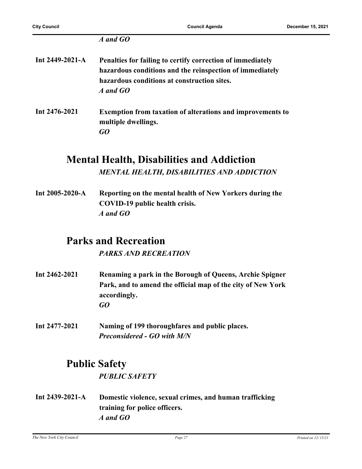#### *A and GO*

| Int 2449-2021-A | Penalties for failing to certify correction of immediately<br>hazardous conditions and the reinspection of immediately<br>hazardous conditions at construction sites.<br>A and GO |
|-----------------|-----------------------------------------------------------------------------------------------------------------------------------------------------------------------------------|
| Int 2476-2021   | <b>Exemption from taxation of alterations and improvements to</b><br>multiple dwellings.<br>GO                                                                                    |

## **Mental Health, Disabilities and Addiction** *MENTAL HEALTH, DISABILITIES AND ADDICTION*

**Int 2005-2020-A Reporting on the mental health of New Yorkers during the COVID-19 public health crisis.** *A and GO*

## **Parks and Recreation**

*PARKS AND RECREATION*

- **Int 2462-2021 Renaming a park in the Borough of Queens, Archie Spigner Park, and to amend the official map of the city of New York accordingly.** *GO*
- **Int 2477-2021 Naming of 199 thoroughfares and public places.** *Preconsidered - GO with M/N*

## **Public Safety**

*PUBLIC SAFETY*

**Int 2439-2021-A Domestic violence, sexual crimes, and human trafficking training for police officers.** *A and GO*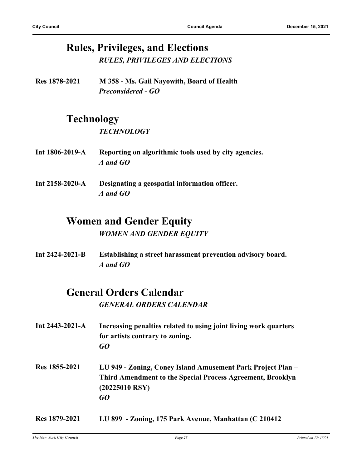## **Rules, Privileges, and Elections** *RULES, PRIVILEGES AND ELECTIONS*

**Res 1878-2021 M 358 - Ms. Gail Nayowith, Board of Health** *Preconsidered - GO*

# **Technology**

#### *TECHNOLOGY*

- **Int 1806-2019-A Reporting on algorithmic tools used by city agencies.** *A and GO*
- **Int 2158-2020-A Designating a geospatial information officer.** *A and GO*

# **Women and Gender Equity**

#### *WOMEN AND GENDER EQUITY*

**Int 2424-2021-B Establishing a street harassment prevention advisory board.** *A and GO*

## **General Orders Calendar**

*GENERAL ORDERS CALENDAR*

- **Int 2443-2021-A Increasing penalties related to using joint living work quarters for artists contrary to zoning.** *GO* **Res 1855-2021 LU 949 - Zoning, Coney Island Amusement Park Project Plan –**
- **Third Amendment to the Special Process Agreement, Brooklyn (20225010 RSY)** *GO*
- **Res 1879-2021 LU 899 Zoning, 175 Park Avenue, Manhattan (C 210412**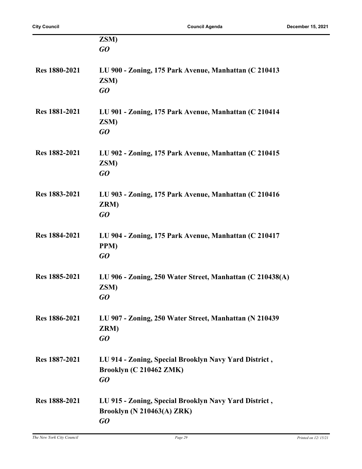|                      | ZSM)                                                      |
|----------------------|-----------------------------------------------------------|
|                      | GQ                                                        |
|                      |                                                           |
| <b>Res</b> 1880-2021 | LU 900 - Zoning, 175 Park Avenue, Manhattan (C 210413     |
|                      | ZSM)                                                      |
|                      | GO                                                        |
|                      |                                                           |
| Res 1881-2021        | LU 901 - Zoning, 175 Park Avenue, Manhattan (C 210414)    |
|                      | ZSM)                                                      |
|                      | GO                                                        |
|                      |                                                           |
|                      |                                                           |
| Res 1882-2021        | LU 902 - Zoning, 175 Park Avenue, Manhattan (C 210415     |
|                      | ZSM)                                                      |
|                      | GO                                                        |
|                      |                                                           |
| Res 1883-2021        | LU 903 - Zoning, 175 Park Avenue, Manhattan (C 210416     |
|                      | ZRM)                                                      |
|                      | GO                                                        |
|                      |                                                           |
| Res 1884-2021        | LU 904 - Zoning, 175 Park Avenue, Manhattan (C 210417     |
|                      | PPM)                                                      |
|                      | GO                                                        |
|                      |                                                           |
| Res 1885-2021        | LU 906 - Zoning, 250 Water Street, Manhattan (C 210438(A) |
|                      | ZSM)                                                      |
|                      | GO                                                        |
|                      |                                                           |
| Res 1886-2021        | LU 907 - Zoning, 250 Water Street, Manhattan (N 210439)   |
|                      | ZRM)                                                      |
|                      | GO                                                        |
|                      |                                                           |
| Res 1887-2021        | LU 914 - Zoning, Special Brooklyn Navy Yard District,     |
|                      | Brooklyn (C 210462 ZMK)                                   |
|                      | GO                                                        |
|                      |                                                           |
| Res 1888-2021        | LU 915 - Zoning, Special Brooklyn Navy Yard District,     |
|                      | <b>Brooklyn (N 210463(A) ZRK)</b>                         |
|                      | GO                                                        |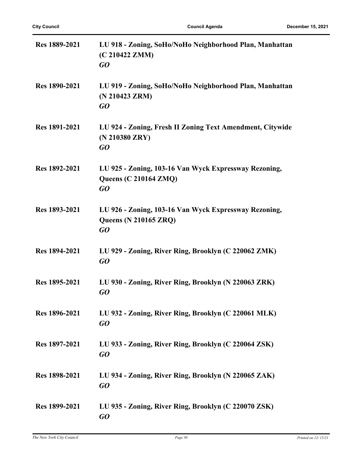| <b>Res</b> 1889-2021 | LU 918 - Zoning, SoHo/NoHo Neighborhood Plan, Manhattan<br>(C 210422 ZMM)<br>GO             |
|----------------------|---------------------------------------------------------------------------------------------|
| <b>Res</b> 1890-2021 | LU 919 - Zoning, SoHo/NoHo Neighborhood Plan, Manhattan<br>(N 210423 ZRM)<br>GO             |
| <b>Res</b> 1891-2021 | LU 924 - Zoning, Fresh II Zoning Text Amendment, Citywide<br>(N 210380 ZRY)<br>GQ           |
| Res 1892-2021        | LU 925 - Zoning, 103-16 Van Wyck Expressway Rezoning,<br><b>Queens (C 210164 ZMQ)</b><br>GO |
| Res 1893-2021        | LU 926 - Zoning, 103-16 Van Wyck Expressway Rezoning,<br><b>Queens (N 210165 ZRQ)</b><br>GO |
| Res 1894-2021        | LU 929 - Zoning, River Ring, Brooklyn (C 220062 ZMK)<br>GO                                  |
| Res 1895-2021        | LU 930 - Zoning, River Ring, Brooklyn (N 220063 ZRK)<br>GO                                  |
| Res 1896-2021        | LU 932 - Zoning, River Ring, Brooklyn (C 220061 MLK)<br>GO                                  |
| Res 1897-2021        | LU 933 - Zoning, River Ring, Brooklyn (C 220064 ZSK)<br>GO                                  |
| Res 1898-2021        | LU 934 - Zoning, River Ring, Brooklyn (N 220065 ZAK)<br>GO                                  |
| Res 1899-2021        | LU 935 - Zoning, River Ring, Brooklyn (C 220070 ZSK)<br>GO                                  |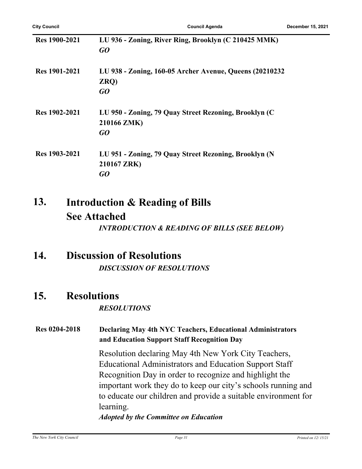| <b>Res</b> 1900-2021 | LU 936 - Zoning, River Ring, Brooklyn (C 210425 MMK)<br>GO                 |
|----------------------|----------------------------------------------------------------------------|
| <b>Res</b> 1901-2021 | LU 938 - Zoning, 160-05 Archer Avenue, Queens (20210232)<br>ZRQ)<br>GO     |
| Res 1902-2021        | LU 950 - Zoning, 79 Quay Street Rezoning, Brooklyn (C<br>210166 ZMK)<br>GO |
| Res 1903-2021        | LU 951 - Zoning, 79 Quay Street Rezoning, Brooklyn (N<br>210167 ZRK)<br>GO |

#### **Introduction & Reading of Bills See Attached 13.**

*INTRODUCTION & READING OF BILLS (SEE BELOW)*

### **14. Discussion of Resolutions** *DISCUSSION OF RESOLUTIONS*

### **15. Resolutions**

#### *RESOLUTIONS*

#### **Res 0204-2018 Declaring May 4th NYC Teachers, Educational Administrators and Education Support Staff Recognition Day**

Resolution declaring May 4th New York City Teachers, Educational Administrators and Education Support Staff Recognition Day in order to recognize and highlight the important work they do to keep our city's schools running and to educate our children and provide a suitable environment for learning.

#### *Adopted by the Committee on Education*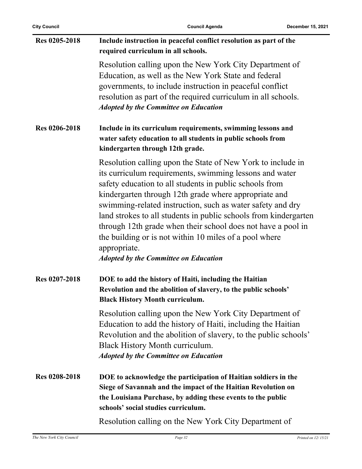| Res 0205-2018        | Include instruction in peaceful conflict resolution as part of the<br>required curriculum in all schools.                                                                                                                                                                                                                                                                                                                                                                                                                                                              |
|----------------------|------------------------------------------------------------------------------------------------------------------------------------------------------------------------------------------------------------------------------------------------------------------------------------------------------------------------------------------------------------------------------------------------------------------------------------------------------------------------------------------------------------------------------------------------------------------------|
|                      | Resolution calling upon the New York City Department of<br>Education, as well as the New York State and federal<br>governments, to include instruction in peaceful conflict<br>resolution as part of the required curriculum in all schools.<br><b>Adopted by the Committee on Education</b>                                                                                                                                                                                                                                                                           |
| Res 0206-2018        | Include in its curriculum requirements, swimming lessons and<br>water safety education to all students in public schools from<br>kindergarten through 12th grade.                                                                                                                                                                                                                                                                                                                                                                                                      |
|                      | Resolution calling upon the State of New York to include in<br>its curriculum requirements, swimming lessons and water<br>safety education to all students in public schools from<br>kindergarten through 12th grade where appropriate and<br>swimming-related instruction, such as water safety and dry<br>land strokes to all students in public schools from kindergarten<br>through 12th grade when their school does not have a pool in<br>the building or is not within 10 miles of a pool where<br>appropriate.<br><b>Adopted by the Committee on Education</b> |
| Res 0207-2018        | DOE to add the history of Haiti, including the Haitian<br>Revolution and the abolition of slavery, to the public schools'<br><b>Black History Month curriculum.</b>                                                                                                                                                                                                                                                                                                                                                                                                    |
|                      | Resolution calling upon the New York City Department of<br>Education to add the history of Haiti, including the Haitian<br>Revolution and the abolition of slavery, to the public schools'<br>Black History Month curriculum.<br><b>Adopted by the Committee on Education</b>                                                                                                                                                                                                                                                                                          |
| <b>Res 0208-2018</b> | DOE to acknowledge the participation of Haitian soldiers in the<br>Siege of Savannah and the impact of the Haitian Revolution on<br>the Louisiana Purchase, by adding these events to the public<br>schools' social studies curriculum.                                                                                                                                                                                                                                                                                                                                |
|                      | Resolution calling on the New York City Department of                                                                                                                                                                                                                                                                                                                                                                                                                                                                                                                  |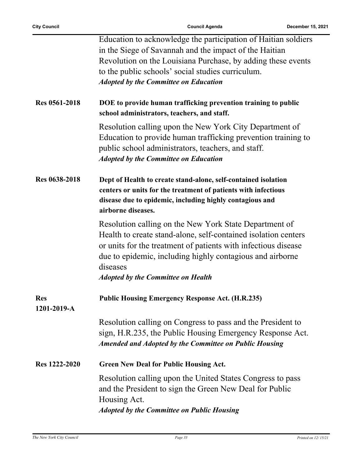l,

|                           | Education to acknowledge the participation of Haitian soldiers                                                                                                                                                                                                      |
|---------------------------|---------------------------------------------------------------------------------------------------------------------------------------------------------------------------------------------------------------------------------------------------------------------|
|                           | in the Siege of Savannah and the impact of the Haitian                                                                                                                                                                                                              |
|                           | Revolution on the Louisiana Purchase, by adding these events                                                                                                                                                                                                        |
|                           |                                                                                                                                                                                                                                                                     |
|                           | to the public schools' social studies curriculum.                                                                                                                                                                                                                   |
|                           | <b>Adopted by the Committee on Education</b>                                                                                                                                                                                                                        |
| <b>Res 0561-2018</b>      | DOE to provide human trafficking prevention training to public<br>school administrators, teachers, and staff.                                                                                                                                                       |
|                           | Resolution calling upon the New York City Department of<br>Education to provide human trafficking prevention training to<br>public school administrators, teachers, and staff.<br><b>Adopted by the Committee on Education</b>                                      |
| Res 0638-2018             | Dept of Health to create stand-alone, self-contained isolation                                                                                                                                                                                                      |
|                           | centers or units for the treatment of patients with infectious                                                                                                                                                                                                      |
|                           | disease due to epidemic, including highly contagious and                                                                                                                                                                                                            |
|                           | airborne diseases.                                                                                                                                                                                                                                                  |
|                           |                                                                                                                                                                                                                                                                     |
|                           | Resolution calling on the New York State Department of<br>Health to create stand-alone, self-contained isolation centers<br>or units for the treatment of patients with infectious disease<br>due to epidemic, including highly contagious and airborne<br>diseases |
|                           | <b>Adopted by the Committee on Health</b>                                                                                                                                                                                                                           |
| <b>Res</b><br>1201-2019-A | <b>Public Housing Emergency Response Act. (H.R.235)</b>                                                                                                                                                                                                             |
|                           | Resolution calling on Congress to pass and the President to<br>sign, H.R.235, the Public Housing Emergency Response Act.<br><b>Amended and Adopted by the Committee on Public Housing</b>                                                                           |
| Res 1222-2020             | <b>Green New Deal for Public Housing Act.</b>                                                                                                                                                                                                                       |
|                           | Resolution calling upon the United States Congress to pass<br>and the President to sign the Green New Deal for Public<br>Housing Act.                                                                                                                               |
|                           |                                                                                                                                                                                                                                                                     |
|                           | <b>Adopted by the Committee on Public Housing</b>                                                                                                                                                                                                                   |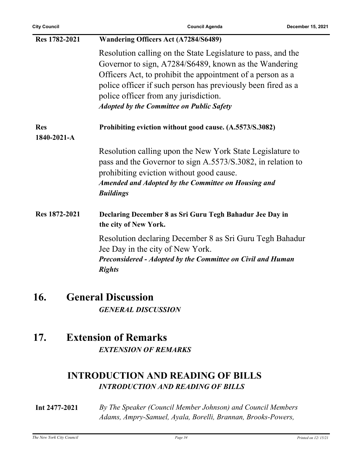| <b>City Council</b> | <b>Council Agenda</b>                                                                        | December 15, 2021 |
|---------------------|----------------------------------------------------------------------------------------------|-------------------|
| Res 1782-2021       | Wandering Officers Act (A7284/S6489)                                                         |                   |
|                     | Resolution calling on the State Legislature to pass, and the                                 |                   |
|                     | Governor to sign, A7284/S6489, known as the Wandering                                        |                   |
|                     | Officers Act, to prohibit the appointment of a person as a                                   |                   |
|                     | police officer if such person has previously been fired as a                                 |                   |
|                     | police officer from any jurisdiction.                                                        |                   |
|                     | <b>Adopted by the Committee on Public Safety</b>                                             |                   |
| <b>Res</b>          | Prohibiting eviction without good cause. (A.5573/S.3082)                                     |                   |
| 1840-2021-A         |                                                                                              |                   |
|                     | Resolution calling upon the New York State Legislature to                                    |                   |
|                     | pass and the Governor to sign A.5573/S.3082, in relation to                                  |                   |
|                     | prohibiting eviction without good cause.                                                     |                   |
|                     | <b>Amended and Adopted by the Committee on Housing and</b>                                   |                   |
|                     | <b>Buildings</b>                                                                             |                   |
| Res 1872-2021       | Declaring December 8 as Sri Guru Tegh Bahadur Jee Day in                                     |                   |
|                     | the city of New York.                                                                        |                   |
|                     | Resolution declaring December 8 as Sri Guru Tegh Bahadur<br>Jee Day in the city of New York. |                   |
|                     | Preconsidered - Adopted by the Committee on Civil and Human<br><b>Rights</b>                 |                   |
|                     |                                                                                              |                   |

## **16. General Discussion** *GENERAL DISCUSSION*

### **17. Extension of Remarks** *EXTENSION OF REMARKS*

### **INTRODUCTION AND READING OF BILLS** *INTRODUCTION AND READING OF BILLS*

**Int 2477-2021** *By The Speaker (Council Member Johnson) and Council Members Adams, Ampry-Samuel, Ayala, Borelli, Brannan, Brooks-Powers,*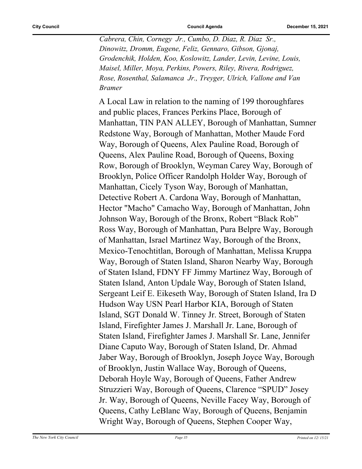*Cabrera, Chin, Cornegy Jr., Cumbo, D. Diaz, R. Diaz Sr., Dinowitz, Dromm, Eugene, Feliz, Gennaro, Gibson, Gjonaj, Grodenchik, Holden, Koo, Koslowitz, Lander, Levin, Levine, Louis, Maisel, Miller, Moya, Perkins, Powers, Riley, Rivera, Rodriguez, Rose, Rosenthal, Salamanca Jr., Treyger, Ulrich, Vallone and Van Bramer*

A Local Law in relation to the naming of 199 thoroughfares and public places, Frances Perkins Place, Borough of Manhattan, TIN PAN ALLEY, Borough of Manhattan, Sumner Redstone Way, Borough of Manhattan, Mother Maude Ford Way, Borough of Queens, Alex Pauline Road, Borough of Queens, Alex Pauline Road, Borough of Queens, Boxing Row, Borough of Brooklyn, Weyman Carey Way, Borough of Brooklyn, Police Officer Randolph Holder Way, Borough of Manhattan, Cicely Tyson Way, Borough of Manhattan, Detective Robert A. Cardona Way, Borough of Manhattan, Hector "Macho" Camacho Way, Borough of Manhattan, John Johnson Way, Borough of the Bronx, Robert "Black Rob" Ross Way, Borough of Manhattan, Pura Belpre Way, Borough of Manhattan, Israel Martinez Way, Borough of the Bronx, Mexico-Tenochtitlan, Borough of Manhattan, Melissa Kruppa Way, Borough of Staten Island, Sharon Nearby Way, Borough of Staten Island, FDNY FF Jimmy Martinez Way, Borough of Staten Island, Anton Updale Way, Borough of Staten Island, Sergeant Leif E. Eikeseth Way, Borough of Staten Island, Ira D Hudson Way USN Pearl Harbor KIA, Borough of Staten Island, SGT Donald W. Tinney Jr. Street, Borough of Staten Island, Firefighter James J. Marshall Jr. Lane, Borough of Staten Island, Firefighter James J. Marshall Sr. Lane, Jennifer Diane Caputo Way, Borough of Staten Island, Dr. Ahmad Jaber Way, Borough of Brooklyn, Joseph Joyce Way, Borough of Brooklyn, Justin Wallace Way, Borough of Queens, Deborah Hoyle Way, Borough of Queens, Father Andrew Struzzieri Way, Borough of Queens, Clarence "SPUD" Josey Jr. Way, Borough of Queens, Neville Facey Way, Borough of Queens, Cathy LeBlanc Way, Borough of Queens, Benjamin Wright Way, Borough of Queens, Stephen Cooper Way,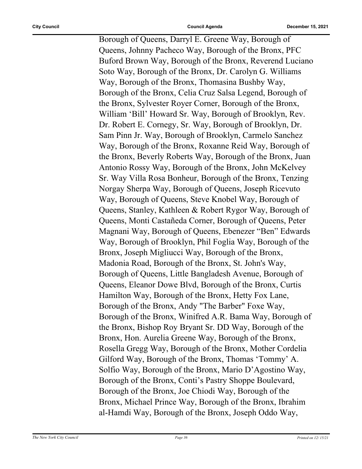Borough of Queens, Darryl E. Greene Way, Borough of Queens, Johnny Pacheco Way, Borough of the Bronx, PFC Buford Brown Way, Borough of the Bronx, Reverend Luciano Soto Way, Borough of the Bronx, Dr. Carolyn G. Williams Way, Borough of the Bronx, Thomasina Bushby Way, Borough of the Bronx, Celia Cruz Salsa Legend, Borough of the Bronx, Sylvester Royer Corner, Borough of the Bronx, William 'Bill' Howard Sr. Way, Borough of Brooklyn, Rev. Dr. Robert E. Cornegy, Sr. Way, Borough of Brooklyn, Dr. Sam Pinn Jr. Way, Borough of Brooklyn, Carmelo Sanchez Way, Borough of the Bronx, Roxanne Reid Way, Borough of the Bronx, Beverly Roberts Way, Borough of the Bronx, Juan Antonio Rossy Way, Borough of the Bronx, John McKelvey Sr. Way Villa Rosa Bonheur, Borough of the Bronx, Tenzing Norgay Sherpa Way, Borough of Queens, Joseph Ricevuto Way, Borough of Queens, Steve Knobel Way, Borough of Queens, Stanley, Kathleen & Robert Rygor Way, Borough of Queens, Monti Castañeda Corner, Borough of Queens, Peter Magnani Way, Borough of Queens, Ebenezer "Ben" Edwards Way, Borough of Brooklyn, Phil Foglia Way, Borough of the Bronx, Joseph Migliucci Way, Borough of the Bronx, Madonia Road, Borough of the Bronx, St. John's Way, Borough of Queens, Little Bangladesh Avenue, Borough of Queens, Eleanor Dowe Blvd, Borough of the Bronx, Curtis Hamilton Way, Borough of the Bronx, Hetty Fox Lane, Borough of the Bronx, Andy "The Barber" Foxe Way, Borough of the Bronx, Winifred A.R. Bama Way, Borough of the Bronx, Bishop Roy Bryant Sr. DD Way, Borough of the Bronx, Hon. Aurelia Greene Way, Borough of the Bronx, Rosella Gregg Way, Borough of the Bronx, Mother Cordelia Gilford Way, Borough of the Bronx, Thomas 'Tommy' A. Solfio Way, Borough of the Bronx, Mario D'Agostino Way, Borough of the Bronx, Conti's Pastry Shoppe Boulevard, Borough of the Bronx, Joe Chiodi Way, Borough of the Bronx, Michael Prince Way, Borough of the Bronx, Ibrahim al-Hamdi Way, Borough of the Bronx, Joseph Oddo Way,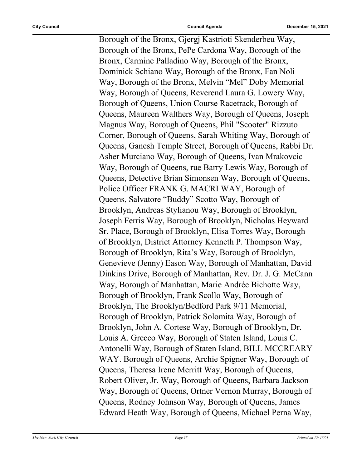Borough of the Bronx, Gjergj Kastrioti Skenderbeu Way, Borough of the Bronx, PePe Cardona Way, Borough of the Bronx, Carmine Palladino Way, Borough of the Bronx, Dominick Schiano Way, Borough of the Bronx, Fan Noli Way, Borough of the Bronx, Melvin "Mel" Doby Memorial Way, Borough of Queens, Reverend Laura G. Lowery Way, Borough of Queens, Union Course Racetrack, Borough of Queens, Maureen Walthers Way, Borough of Queens, Joseph Magnus Way, Borough of Queens, Phil "Scooter" Rizzuto Corner, Borough of Queens, Sarah Whiting Way, Borough of Queens, Ganesh Temple Street, Borough of Queens, Rabbi Dr. Asher Murciano Way, Borough of Queens, Ivan Mrakovcic Way, Borough of Queens, rue Barry Lewis Way, Borough of Queens, Detective Brian Simonsen Way, Borough of Queens, Police Officer FRANK G. MACRI WAY, Borough of Queens, Salvatore "Buddy" Scotto Way, Borough of Brooklyn, Andreas Stylianou Way, Borough of Brooklyn, Joseph Ferris Way, Borough of Brooklyn, Nicholas Heyward Sr. Place, Borough of Brooklyn, Elisa Torres Way, Borough of Brooklyn, District Attorney Kenneth P. Thompson Way, Borough of Brooklyn, Rita's Way, Borough of Brooklyn, Genevieve (Jenny) Eason Way, Borough of Manhattan, David Dinkins Drive, Borough of Manhattan, Rev. Dr. J. G. McCann Way, Borough of Manhattan, Marie Andrée Bichotte Way, Borough of Brooklyn, Frank Scollo Way, Borough of Brooklyn, The Brooklyn/Bedford Park 9/11 Memorial, Borough of Brooklyn, Patrick Solomita Way, Borough of Brooklyn, John A. Cortese Way, Borough of Brooklyn, Dr. Louis A. Grecco Way, Borough of Staten Island, Louis C. Antonelli Way, Borough of Staten Island, BILL MCCREARY WAY. Borough of Queens, Archie Spigner Way, Borough of Queens, Theresa Irene Merritt Way, Borough of Queens, Robert Oliver, Jr. Way, Borough of Queens, Barbara Jackson Way, Borough of Queens, Ortner Vernon Murray, Borough of Queens, Rodney Johnson Way, Borough of Queens, James Edward Heath Way, Borough of Queens, Michael Perna Way,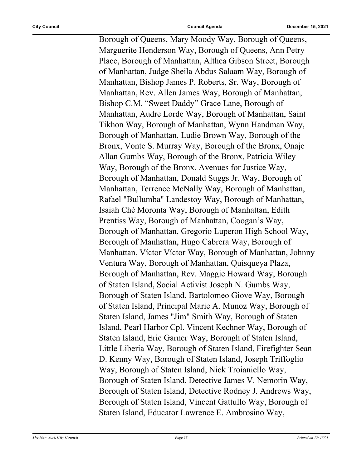Borough of Queens, Mary Moody Way, Borough of Queens, Marguerite Henderson Way, Borough of Queens, Ann Petry Place, Borough of Manhattan, Althea Gibson Street, Borough of Manhattan, Judge Sheila Abdus Salaam Way, Borough of Manhattan, Bishop James P. Roberts, Sr. Way, Borough of Manhattan, Rev. Allen James Way, Borough of Manhattan, Bishop C.M. "Sweet Daddy" Grace Lane, Borough of Manhattan, Audre Lorde Way, Borough of Manhattan, Saint Tikhon Way, Borough of Manhattan, Wynn Handman Way, Borough of Manhattan, Ludie Brown Way, Borough of the Bronx, Vonte S. Murray Way, Borough of the Bronx, Onaje Allan Gumbs Way, Borough of the Bronx, Patricia Wiley Way, Borough of the Bronx, Avenues for Justice Way, Borough of Manhattan, Donald Suggs Jr. Way, Borough of Manhattan, Terrence McNally Way, Borough of Manhattan, Rafael "Bullumba" Landestoy Way, Borough of Manhattan, Isaiah Ché Moronta Way, Borough of Manhattan, Edith Prentiss Way, Borough of Manhattan, Coogan's Way, Borough of Manhattan, Gregorio Luperon High School Way, Borough of Manhattan, Hugo Cabrera Way, Borough of Manhattan, Víctor Víctor Way, Borough of Manhattan, Johnny Ventura Way, Borough of Manhattan, Quisqueya Plaza, Borough of Manhattan, Rev. Maggie Howard Way, Borough of Staten Island, Social Activist Joseph N. Gumbs Way, Borough of Staten Island, Bartolomeo Giove Way, Borough of Staten Island, Principal Marie A. Munoz Way, Borough of Staten Island, James "Jim" Smith Way, Borough of Staten Island, Pearl Harbor Cpl. Vincent Kechner Way, Borough of Staten Island, Eric Garner Way, Borough of Staten Island, Little Liberia Way, Borough of Staten Island, Firefighter Sean D. Kenny Way, Borough of Staten Island, Joseph Triffoglio Way, Borough of Staten Island, Nick Troianiello Way, Borough of Staten Island, Detective James V. Nemorin Way, Borough of Staten Island, Detective Rodney J. Andrews Way, Borough of Staten Island, Vincent Gattullo Way, Borough of Staten Island, Educator Lawrence E. Ambrosino Way,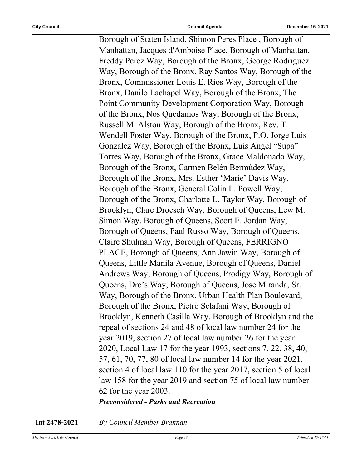Borough of Staten Island, Shimon Peres Place , Borough of Manhattan, Jacques d'Amboise Place, Borough of Manhattan, Freddy Perez Way, Borough of the Bronx, George Rodriguez Way, Borough of the Bronx, Ray Santos Way, Borough of the Bronx, Commissioner Louis E. Rios Way, Borough of the Bronx, Danilo Lachapel Way, Borough of the Bronx, The Point Community Development Corporation Way, Borough of the Bronx, Nos Quedamos Way, Borough of the Bronx, Russell M. Alston Way, Borough of the Bronx, Rev. T. Wendell Foster Way, Borough of the Bronx, P.O. Jorge Luis Gonzalez Way, Borough of the Bronx, Luis Angel "Supa" Torres Way, Borough of the Bronx, Grace Maldonado Way, Borough of the Bronx, Carmen Belén Bermúdez Way, Borough of the Bronx, Mrs. Esther 'Marie' Davis Way, Borough of the Bronx, General Colin L. Powell Way, Borough of the Bronx, Charlotte L. Taylor Way, Borough of Brooklyn, Clare Droesch Way, Borough of Queens, Lew M. Simon Way, Borough of Queens, Scott E. Jordan Way, Borough of Queens, Paul Russo Way, Borough of Queens, Claire Shulman Way, Borough of Queens, FERRIGNO PLACE, Borough of Queens, Ann Jawin Way, Borough of Queens, Little Manila Avenue, Borough of Queens, Daniel Andrews Way, Borough of Queens, Prodigy Way, Borough of Queens, Dre's Way, Borough of Queens, Jose Miranda, Sr. Way, Borough of the Bronx, Urban Health Plan Boulevard, Borough of the Bronx, Pietro Sclafani Way, Borough of Brooklyn, Kenneth Casilla Way, Borough of Brooklyn and the repeal of sections 24 and 48 of local law number 24 for the year 2019, section 27 of local law number 26 for the year 2020, Local Law 17 for the year 1993, sections 7, 22, 38, 40, 57, 61, 70, 77, 80 of local law number 14 for the year 2021, section 4 of local law 110 for the year 2017, section 5 of local law 158 for the year 2019 and section 75 of local law number 62 for the year 2003. *Preconsidered - Parks and Recreation*

**Int 2478-2021** *By Council Member Brannan*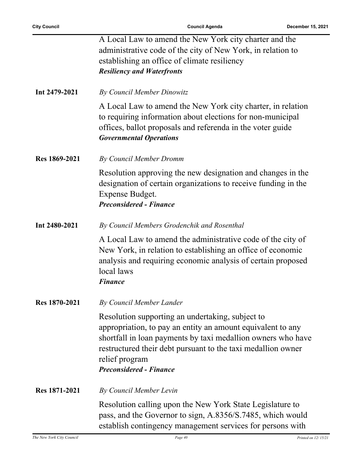|               | A Local Law to amend the New York city charter and the                                                                                                                                                                                                                                              |
|---------------|-----------------------------------------------------------------------------------------------------------------------------------------------------------------------------------------------------------------------------------------------------------------------------------------------------|
|               | administrative code of the city of New York, in relation to                                                                                                                                                                                                                                         |
|               | establishing an office of climate resiliency                                                                                                                                                                                                                                                        |
|               |                                                                                                                                                                                                                                                                                                     |
|               | <b>Resiliency and Waterfronts</b>                                                                                                                                                                                                                                                                   |
| Int 2479-2021 | By Council Member Dinowitz                                                                                                                                                                                                                                                                          |
|               | A Local Law to amend the New York city charter, in relation<br>to requiring information about elections for non-municipal<br>offices, ballot proposals and referenda in the voter guide<br><b>Governmental Operations</b>                                                                           |
| Res 1869-2021 | By Council Member Dromm                                                                                                                                                                                                                                                                             |
|               | Resolution approving the new designation and changes in the<br>designation of certain organizations to receive funding in the<br>Expense Budget.<br><b>Preconsidered - Finance</b>                                                                                                                  |
| Int 2480-2021 | By Council Members Grodenchik and Rosenthal                                                                                                                                                                                                                                                         |
|               | A Local Law to amend the administrative code of the city of<br>New York, in relation to establishing an office of economic<br>analysis and requiring economic analysis of certain proposed<br>local laws<br><b>Finance</b>                                                                          |
| Res 1870-2021 | <b>By Council Member Lander</b>                                                                                                                                                                                                                                                                     |
|               | Resolution supporting an undertaking, subject to<br>appropriation, to pay an entity an amount equivalent to any<br>shortfall in loan payments by taxi medallion owners who have<br>restructured their debt pursuant to the taxi medallion owner<br>relief program<br><b>Preconsidered - Finance</b> |
| Res 1871-2021 | By Council Member Levin                                                                                                                                                                                                                                                                             |
|               | Resolution calling upon the New York State Legislature to<br>pass, and the Governor to sign, A.8356/S.7485, which would<br>establish contingency management services for persons with                                                                                                               |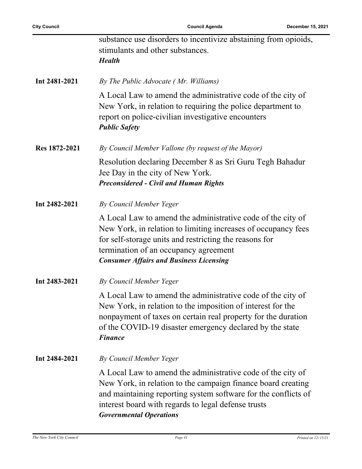|               | substance use disorders to incentivize abstaining from opioids,<br>stimulants and other substances.<br><b>Health</b>                                                                                                                                                                   |
|---------------|----------------------------------------------------------------------------------------------------------------------------------------------------------------------------------------------------------------------------------------------------------------------------------------|
| Int 2481-2021 | By The Public Advocate (Mr. Williams)                                                                                                                                                                                                                                                  |
|               | A Local Law to amend the administrative code of the city of<br>New York, in relation to requiring the police department to<br>report on police-civilian investigative encounters<br><b>Public Safety</b>                                                                               |
| Res 1872-2021 | By Council Member Vallone (by request of the Mayor)                                                                                                                                                                                                                                    |
|               | Resolution declaring December 8 as Sri Guru Tegh Bahadur<br>Jee Day in the city of New York.<br><b>Preconsidered - Civil and Human Rights</b>                                                                                                                                          |
| Int 2482-2021 | By Council Member Yeger                                                                                                                                                                                                                                                                |
|               | A Local Law to amend the administrative code of the city of<br>New York, in relation to limiting increases of occupancy fees<br>for self-storage units and restricting the reasons for<br>termination of an occupancy agreement<br><b>Consumer Affairs and Business Licensing</b>      |
| Int 2483-2021 | By Council Member Yeger                                                                                                                                                                                                                                                                |
|               | A Local Law to amend the administrative code of the city of<br>New York, in relation to the imposition of interest for the<br>nonpayment of taxes on certain real property for the duration<br>of the COVID-19 disaster emergency declared by the state<br><b>Finance</b>              |
| Int 2484-2021 | By Council Member Yeger                                                                                                                                                                                                                                                                |
|               | A Local Law to amend the administrative code of the city of<br>New York, in relation to the campaign finance board creating<br>and maintaining reporting system software for the conflicts of<br>interest board with regards to legal defense trusts<br><b>Governmental Operations</b> |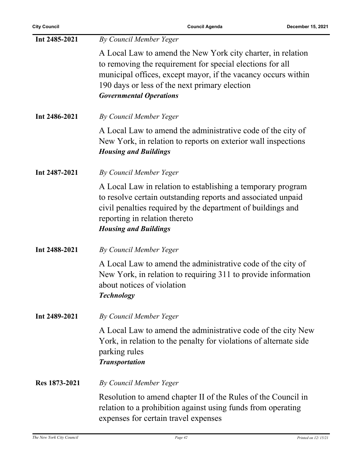| Int 2485-2021 | By Council Member Yeger                                                                                                                                                                                                                                                      |
|---------------|------------------------------------------------------------------------------------------------------------------------------------------------------------------------------------------------------------------------------------------------------------------------------|
|               | A Local Law to amend the New York city charter, in relation<br>to removing the requirement for special elections for all<br>municipal offices, except mayor, if the vacancy occurs within<br>190 days or less of the next primary election<br><b>Governmental Operations</b> |
| Int 2486-2021 | By Council Member Yeger                                                                                                                                                                                                                                                      |
|               | A Local Law to amend the administrative code of the city of<br>New York, in relation to reports on exterior wall inspections<br><b>Housing and Buildings</b>                                                                                                                 |
| Int 2487-2021 | By Council Member Yeger                                                                                                                                                                                                                                                      |
|               | A Local Law in relation to establishing a temporary program<br>to resolve certain outstanding reports and associated unpaid<br>civil penalties required by the department of buildings and<br>reporting in relation thereto<br><b>Housing and Buildings</b>                  |
| Int 2488-2021 | By Council Member Yeger                                                                                                                                                                                                                                                      |
|               | A Local Law to amend the administrative code of the city of<br>New York, in relation to requiring 311 to provide information<br>about notices of violation<br><b>Technology</b>                                                                                              |
| Int 2489-2021 | By Council Member Yeger                                                                                                                                                                                                                                                      |
|               | A Local Law to amend the administrative code of the city New<br>York, in relation to the penalty for violations of alternate side<br>parking rules<br><b>Transportation</b>                                                                                                  |
| Res 1873-2021 | By Council Member Yeger                                                                                                                                                                                                                                                      |
|               | Resolution to amend chapter II of the Rules of the Council in<br>relation to a prohibition against using funds from operating<br>expenses for certain travel expenses                                                                                                        |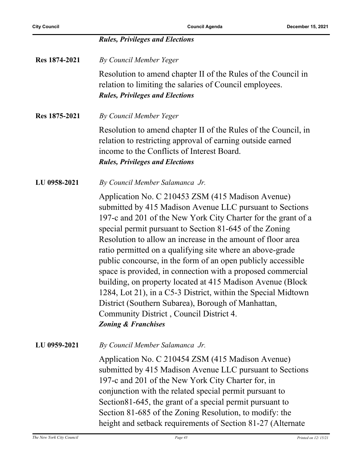|               | <b>Rules, Privileges and Elections</b>                                                                                                                                                                                                                                                                                                                                                                                                                                                                                                                                                                                                                                                                                                                                 |
|---------------|------------------------------------------------------------------------------------------------------------------------------------------------------------------------------------------------------------------------------------------------------------------------------------------------------------------------------------------------------------------------------------------------------------------------------------------------------------------------------------------------------------------------------------------------------------------------------------------------------------------------------------------------------------------------------------------------------------------------------------------------------------------------|
| Res 1874-2021 | By Council Member Yeger                                                                                                                                                                                                                                                                                                                                                                                                                                                                                                                                                                                                                                                                                                                                                |
|               | Resolution to amend chapter II of the Rules of the Council in<br>relation to limiting the salaries of Council employees.<br><b>Rules, Privileges and Elections</b>                                                                                                                                                                                                                                                                                                                                                                                                                                                                                                                                                                                                     |
| Res 1875-2021 | By Council Member Yeger                                                                                                                                                                                                                                                                                                                                                                                                                                                                                                                                                                                                                                                                                                                                                |
|               | Resolution to amend chapter II of the Rules of the Council, in<br>relation to restricting approval of earning outside earned<br>income to the Conflicts of Interest Board.<br><b>Rules, Privileges and Elections</b>                                                                                                                                                                                                                                                                                                                                                                                                                                                                                                                                                   |
| LU 0958-2021  | By Council Member Salamanca Jr.                                                                                                                                                                                                                                                                                                                                                                                                                                                                                                                                                                                                                                                                                                                                        |
|               | Application No. C 210453 ZSM (415 Madison Avenue)<br>submitted by 415 Madison Avenue LLC pursuant to Sections<br>197-c and 201 of the New York City Charter for the grant of a<br>special permit pursuant to Section 81-645 of the Zoning<br>Resolution to allow an increase in the amount of floor area<br>ratio permitted on a qualifying site where an above-grade<br>public concourse, in the form of an open publicly accessible<br>space is provided, in connection with a proposed commercial<br>building, on property located at 415 Madison Avenue (Block<br>1284, Lot 21), in a C5-3 District, within the Special Midtown<br>District (Southern Subarea), Borough of Manhattan,<br>Community District, Council District 4.<br><b>Zoning &amp; Franchises</b> |
| LU 0959-2021  | By Council Member Salamanca Jr.                                                                                                                                                                                                                                                                                                                                                                                                                                                                                                                                                                                                                                                                                                                                        |
|               | Application No. C 210454 ZSM (415 Madison Avenue)<br>submitted by 415 Madison Avenue LLC pursuant to Sections<br>197-c and 201 of the New York City Charter for, in<br>conjunction with the related special permit pursuant to<br>Section 81-645, the grant of a special permit pursuant to<br>Section 81-685 of the Zoning Resolution, to modify: the<br>height and setback requirements of Section 81-27 (Alternate                                                                                                                                                                                                                                                                                                                                                  |